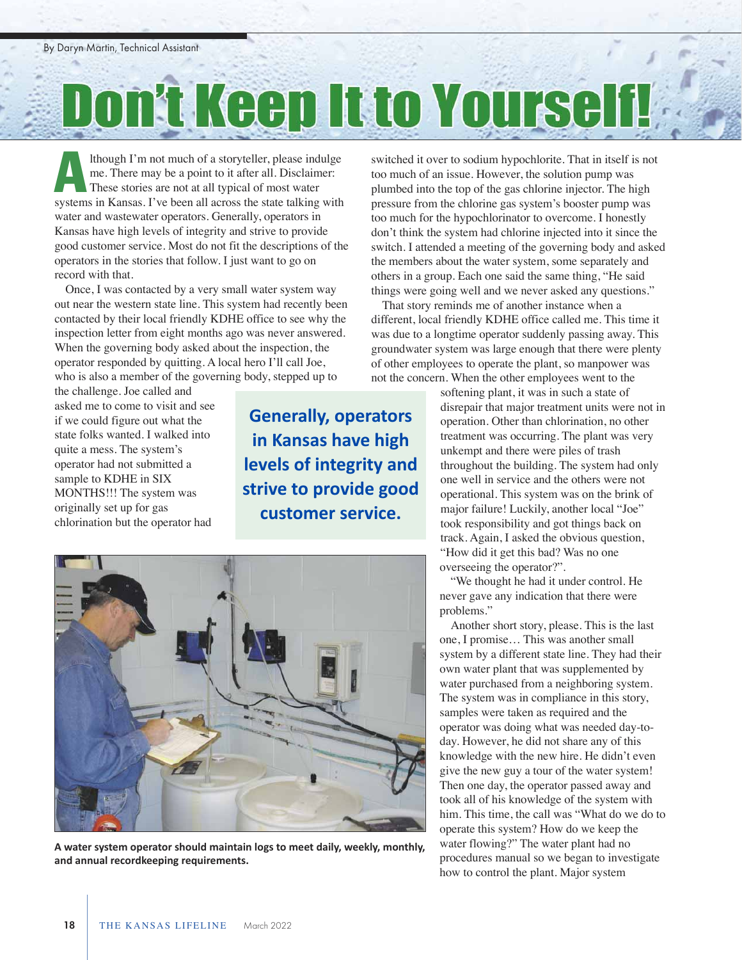## Don't Keep It to Yourself

lthough I'm not much of a storyteller, please indulge me. There may be a point to it after all. Disclaimer: These stories are not at all typical of most water Ithough I'm not much of a storyteller, please indulge<br>me. There may be a point to it after all. Disclaimer:<br>These stories are not at all typical of most water<br>systems in Kansas. I've been all across the state talking with water and wastewater operators. Generally, operators in Kansas have high levels of integrity and strive to provide good customer service. Most do not fit the descriptions of the operators in the stories that follow. I just want to go on record with that.

Once, I was contacted by a very small water system way out near the western state line. This system had recently been contacted by their local friendly KDHE office to see why the inspection letter from eight months ago was never answered. When the governing body asked about the inspection, the operator responded by quitting. A local hero I'll call Joe, who is also a member of the governing body, stepped up to

the challenge. Joe called and asked me to come to visit and see if we could figure out what the state folks wanted. I walked into quite a mess. The system's operator had not submitted a sample to KDHE in SIX MONTHS!!! The system was originally set up for gas chlorination but the operator had

**Generally, operators in Kansas have high levels of integrity and strive to provide good customer service.** 



**A water system operator should maintain logs to meet daily, weekly, monthly, and annual recordkeeping requirements.** 

switched it over to sodium hypochlorite. That in itself is not too much of an issue. However, the solution pump was plumbed into the top of the gas chlorine injector. The high pressure from the chlorine gas system's booster pump was too much for the hypochlorinator to overcome. I honestly don't think the system had chlorine injected into it since the switch. I attended a meeting of the governing body and asked the members about the water system, some separately and others in a group. Each one said the same thing, "He said things were going well and we never asked any questions."

That story reminds me of another instance when a different, local friendly KDHE office called me. This time it was due to a longtime operator suddenly passing away. This groundwater system was large enough that there were plenty of other employees to operate the plant, so manpower was not the concern. When the other employees went to the

> softening plant, it was in such a state of disrepair that major treatment units were not in operation. Other than chlorination, no other treatment was occurring. The plant was very unkempt and there were piles of trash throughout the building. The system had only one well in service and the others were not operational. This system was on the brink of major failure! Luckily, another local "Joe" took responsibility and got things back on track. Again, I asked the obvious question, "How did it get this bad? Was no one overseeing the operator?".

"We thought he had it under control. He never gave any indication that there were problems."

Another short story, please. This is the last one, I promise… This was another small system by a different state line. They had their own water plant that was supplemented by water purchased from a neighboring system. The system was in compliance in this story, samples were taken as required and the operator was doing what was needed day-today. However, he did not share any of this knowledge with the new hire. He didn't even give the new guy a tour of the water system! Then one day, the operator passed away and took all of his knowledge of the system with him. This time, the call was "What do we do to operate this system? How do we keep the water flowing?" The water plant had no procedures manual so we began to investigate how to control the plant. Major system